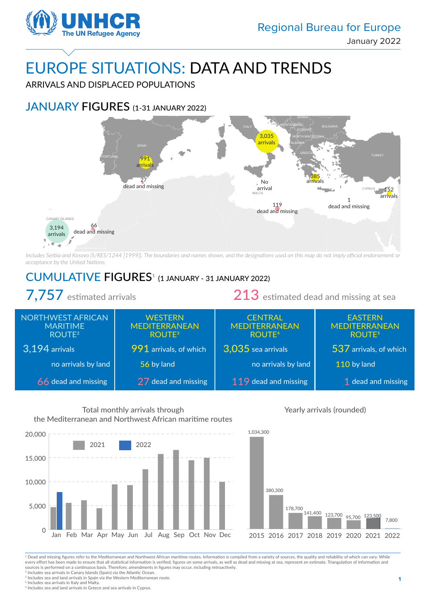

BELGIUM

UNITED KINGDOM

ARRIVALS AND DISPLACED POPULATIONS

### JANUARY FIGURES (1-31 JANUARY 2022)

IRELAND



*Includes Serbia and Kosovo (S/RES/1244 [1999]). The boundaries and names shown, and the designations used on this map do not imply official endorsement or acceptance by the United Nations.*

## CUMULATIVE FIGURES<sup>1</sup> (1 JANUARY - 31 JANUARY 2022)

7,757 estimated arrivals 213 estimated dead and missing at sea **WESTERN** MEDITERRANEAN ROUTE3 991 arrivals, of which 56 by land 27 dead and missing NORTHWEST AFRICAN MARITIME ROUTE2 3,194 arrivals no arrivals by land 66 dead and missing **CENTRAL** MEDITERRANEAN ROUTE4 3,035 sea arrivals no arrivals by land 119 dead and missing EASTERN MEDITERRANEAN ROUTE5 537 arrivals, of which 110 by land 1 dead and missing



Total monthly arrivals through

#### Yearly arrivals (rounded)



<sup>1</sup> Dead and missing figures refer to the Mediterranean and Northwest African maritime routes. Information is compiled from a variety of sources, the quality and reliability of which can vary. While every effort has been made to ensure that all statistical information is verified, figures on some arrivals, as well as dead and missing at sea, represent an estimate. Triangulation of information and sources is performed on a continuous basis. Therefore, amendments in figures may occur, including retroactively. <sup>2</sup> Includes sea arrivals in Canary Islands (Spain) via the Atlantic Ocean.

 $3$  Includes sea and land arrivals in Spain via the Western Mediterranean route.

<sup>4</sup> Includes sea arrivals in Italy and Malta.

<sup>5</sup> Includes sea and land arrivals in Greece and sea arrivals in Cyprus.